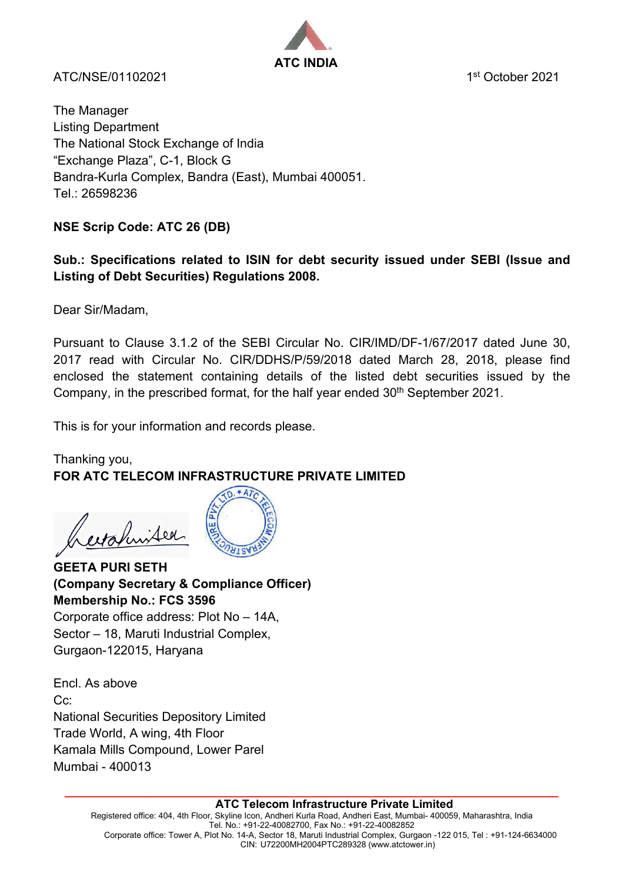

ATC/NSF/01102021 1st October 2021

The Manager Listing Department The National Stock Exchange of India "Exchange Plaza", C-1, Block G Bandra-Kurla Complex, Bandra (East), Mumbai 400051. Tel.: 26598236

# **NSE Scrip Code: ATC 26 (DB)**

# **Sub.: Specifications related to ISIN for debt security issued under SEBI (Issue and Listing of Debt Securities) Regulations 2008.**

Dear Sir/Madam,

Pursuant to Clause 3.1.2 of the SEBI Circular No. CIR/IMD/DF-1/67/2017 dated June 30, 2017 read with Circular No. CIR/DDHS/P/59/2018 dated March 28, 2018, please find enclosed the statement containing details of the listed debt securities issued by the Company, in the prescribed format, for the half year ended 30<sup>th</sup> September 2021.

This is for your information and records please.

## Thanking you, **FOR ATC TELECOM INFRASTRUCTURE PRIVATE LIMITED**

erafinited



**GEETA PURI SETH (Company Secretary & Compliance Officer) Membership No.: FCS 3596** Corporate office address: Plot No – 14A, Sector – 18, Maruti Industrial Complex,

Gurgaon-122015, Haryana

Encl. As above Cc: National Securities Depository Limited Trade World, A wing, 4th Floor Kamala Mills Compound, Lower Parel Mumbai - 400013